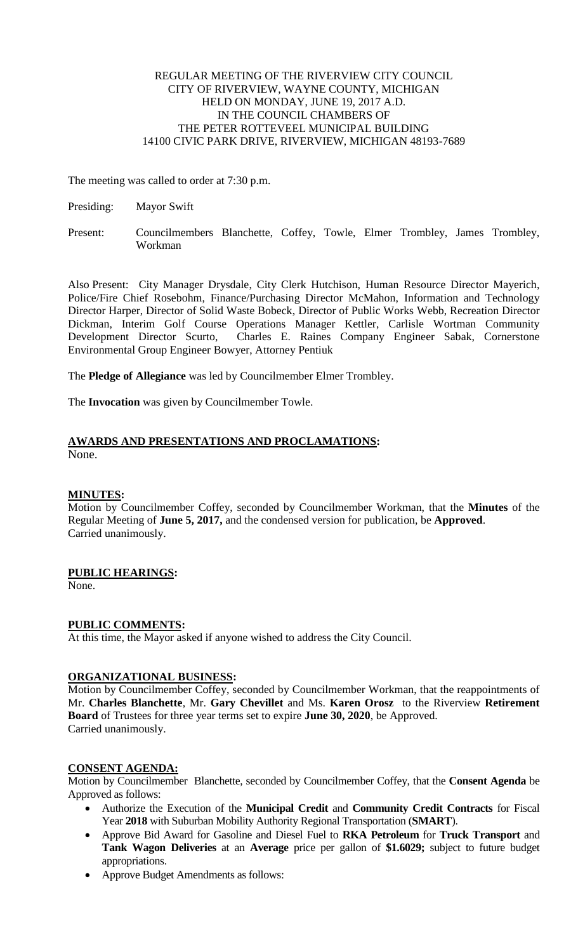# REGULAR MEETING OF THE RIVERVIEW CITY COUNCIL CITY OF RIVERVIEW, WAYNE COUNTY, MICHIGAN HELD ON MONDAY, JUNE 19, 2017 A.D. IN THE COUNCIL CHAMBERS OF THE PETER ROTTEVEEL MUNICIPAL BUILDING 14100 CIVIC PARK DRIVE, RIVERVIEW, MICHIGAN 48193-7689

The meeting was called to order at 7:30 p.m.

- Presiding: Mayor Swift
- Present: Councilmembers Blanchette, Coffey, Towle, Elmer Trombley, James Trombley, Workman

Also Present: City Manager Drysdale, City Clerk Hutchison, Human Resource Director Mayerich, Police/Fire Chief Rosebohm, Finance/Purchasing Director McMahon, Information and Technology Director Harper, Director of Solid Waste Bobeck, Director of Public Works Webb, Recreation Director Dickman, Interim Golf Course Operations Manager Kettler, Carlisle Wortman Community Development Director Scurto, Charles E. Raines Company Engineer Sabak, Cornerstone Environmental Group Engineer Bowyer, Attorney Pentiuk

The **Pledge of Allegiance** was led by Councilmember Elmer Trombley.

The **Invocation** was given by Councilmember Towle.

### **AWARDS AND PRESENTATIONS AND PROCLAMATIONS:** None.

# **MINUTES:**

Motion by Councilmember Coffey, seconded by Councilmember Workman, that the **Minutes** of the Regular Meeting of **June 5, 2017,** and the condensed version for publication, be **Approved**. Carried unanimously.

# **PUBLIC HEARINGS:**

None.

# **PUBLIC COMMENTS:**

At this time, the Mayor asked if anyone wished to address the City Council.

# **ORGANIZATIONAL BUSINESS:**

Motion by Councilmember Coffey, seconded by Councilmember Workman, that the reappointments of Mr. **Charles Blanchette**, Mr. **Gary Chevillet** and Ms. **Karen Orosz** to the Riverview **Retirement Board** of Trustees for three year terms set to expire **June 30, 2020**, be Approved. Carried unanimously.

# **CONSENT AGENDA:**

Motion by Councilmember Blanchette, seconded by Councilmember Coffey, that the **Consent Agenda** be Approved as follows:

- Authorize the Execution of the **Municipal Credit** and **Community Credit Contracts** for Fiscal Year **2018** with Suburban Mobility Authority Regional Transportation (**SMART**).
- Approve Bid Award for Gasoline and Diesel Fuel to **RKA Petroleum** for **Truck Transport** and **Tank Wagon Deliveries** at an **Average** price per gallon of **\$1.6029;** subject to future budget appropriations.
- Approve Budget Amendments as follows: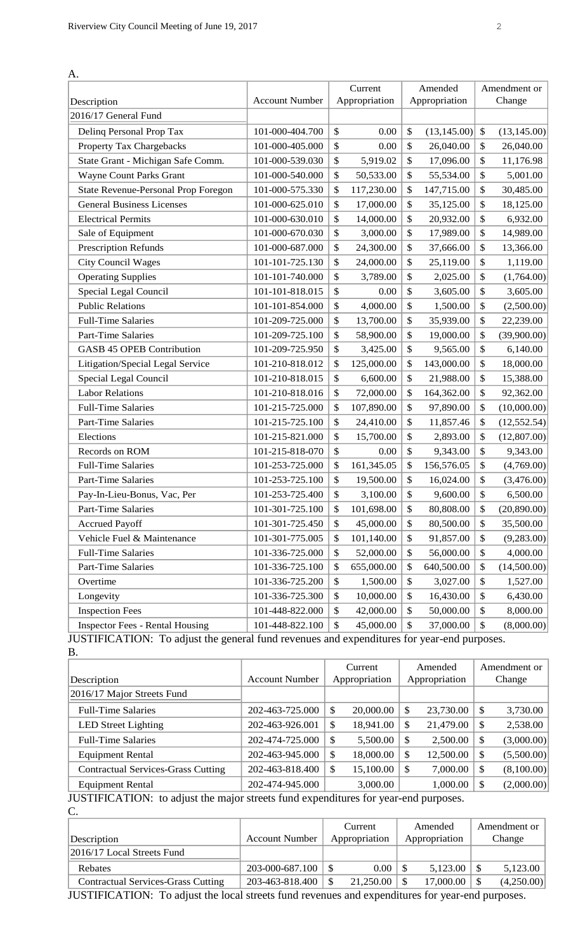| А.                                         |                       | Current          | Amended            |                           | Amendment or |
|--------------------------------------------|-----------------------|------------------|--------------------|---------------------------|--------------|
| Description                                | <b>Account Number</b> | Appropriation    | Appropriation      |                           | Change       |
| 2016/17 General Fund                       |                       |                  |                    |                           |              |
| Delinq Personal Prop Tax                   | 101-000-404.700       | \$<br>0.00       | \$<br>(13, 145.00) | $\mathcal{S}$             | (13, 145.00) |
| Property Tax Chargebacks                   | 101-000-405.000       | \$<br>0.00       | \$<br>26,040.00    | $\mathcal{S}$             | 26,040.00    |
| State Grant - Michigan Safe Comm.          | 101-000-539.030       | \$<br>5,919.02   | \$<br>17,096.00    | \$                        | 11,176.98    |
| Wayne Count Parks Grant                    | 101-000-540.000       | \$<br>50,533.00  | \$<br>55,534.00    | \$                        | 5,001.00     |
| <b>State Revenue-Personal Prop Foregon</b> | 101-000-575.330       | \$<br>117,230.00 | \$<br>147,715.00   | \$                        | 30,485.00    |
| <b>General Business Licenses</b>           | 101-000-625.010       | \$<br>17,000.00  | \$<br>35,125.00    | \$                        | 18,125.00    |
| <b>Electrical Permits</b>                  | 101-000-630.010       | \$<br>14,000.00  | \$<br>20,932.00    | \$                        | 6,932.00     |
| Sale of Equipment                          | 101-000-670.030       | \$<br>3,000.00   | \$<br>17,989.00    | \$                        | 14,989.00    |
| Prescription Refunds                       | 101-000-687.000       | \$<br>24,300.00  | \$<br>37,666.00    | \$                        | 13,366.00    |
| <b>City Council Wages</b>                  | 101-101-725.130       | \$<br>24,000.00  | \$<br>25,119.00    | \$                        | 1,119.00     |
| <b>Operating Supplies</b>                  | 101-101-740.000       | \$<br>3,789.00   | \$<br>2,025.00     | \$                        | (1,764.00)   |
| Special Legal Council                      | 101-101-818.015       | \$<br>0.00       | \$<br>3,605.00     | \$                        | 3,605.00     |
| <b>Public Relations</b>                    | 101-101-854.000       | \$<br>4,000.00   | \$<br>1,500.00     | \$                        | (2,500.00)   |
| <b>Full-Time Salaries</b>                  | 101-209-725.000       | \$<br>13,700.00  | \$<br>35,939.00    | \$                        | 22,239.00    |
| <b>Part-Time Salaries</b>                  | 101-209-725.100       | \$<br>58,900.00  | \$<br>19,000.00    | \$                        | (39,900.00)  |
| <b>GASB 45 OPEB Contribution</b>           | 101-209-725.950       | \$<br>3,425.00   | \$<br>9,565.00     | \$                        | 6,140.00     |
| Litigation/Special Legal Service           | 101-210-818.012       | \$<br>125,000.00 | \$<br>143,000.00   | \$                        | 18,000.00    |
| Special Legal Council                      | 101-210-818.015       | \$<br>6,600.00   | \$<br>21,988.00    | $\boldsymbol{\mathsf{S}}$ | 15,388.00    |
| <b>Labor Relations</b>                     | 101-210-818.016       | \$<br>72,000.00  | \$<br>164,362.00   | \$                        | 92,362.00    |
| <b>Full-Time Salaries</b>                  | 101-215-725.000       | \$<br>107,890.00 | \$<br>97,890.00    | \$                        | (10,000.00)  |
| Part-Time Salaries                         | 101-215-725.100       | \$<br>24,410.00  | \$<br>11,857.46    | \$                        | (12, 552.54) |
| Elections                                  | 101-215-821.000       | \$<br>15,700.00  | \$<br>2,893.00     | \$                        | (12,807.00)  |
| Records on ROM                             | 101-215-818-070       | \$<br>0.00       | \$<br>9,343.00     | \$                        | 9,343.00     |
| <b>Full-Time Salaries</b>                  | 101-253-725.000       | \$<br>161,345.05 | \$<br>156,576.05   | \$                        | (4,769.00)   |
| <b>Part-Time Salaries</b>                  | 101-253-725.100       | \$<br>19,500.00  | \$<br>16,024.00    | \$                        | (3,476.00)   |
| Pay-In-Lieu-Bonus, Vac, Per                | 101-253-725.400       | \$<br>3,100.00   | \$<br>9,600.00     | \$                        | 6,500.00     |
| <b>Part-Time Salaries</b>                  | 101-301-725.100       | \$<br>101,698.00 | \$<br>80,808.00    | \$                        | (20,890.00)  |
| <b>Accrued Payoff</b>                      | 101-301-725.450       | \$<br>45,000.00  | \$<br>80,500.00    | \$                        | 35,500.00    |
| Vehicle Fuel & Maintenance                 | 101-301-775.005       | \$<br>101,140.00 | \$<br>91,857.00    | \$                        | (9,283.00)   |
| <b>Full-Time Salaries</b>                  | 101-336-725.000       | \$<br>52,000.00  | \$<br>56,000.00    | \$                        | 4,000.00     |
| Part-Time Salaries                         | 101-336-725.100       | \$<br>655,000.00 | \$<br>640,500.00   | \$                        | (14,500.00)  |
| Overtime                                   | 101-336-725.200       | \$<br>1,500.00   | \$<br>3,027.00     | \$                        | 1,527.00     |
| Longevity                                  | 101-336-725.300       | \$<br>10,000.00  | \$<br>16,430.00    | \$                        | 6,430.00     |
| <b>Inspection Fees</b>                     | 101-448-822.000       | \$<br>42,000.00  | \$<br>50,000.00    | \$                        | 8,000.00     |
| <b>Inspector Fees - Rental Housing</b>     | 101-448-822.100       | \$<br>45,000.00  | \$<br>37,000.00    | \$                        | (8,000.00)   |

JUSTIFICATION: To adjust the general fund revenues and expenditures for year-end purposes. **B.** 

| ້ື່                                                                                        |                       |               |               |         |               |              |            |  |        |
|--------------------------------------------------------------------------------------------|-----------------------|---------------|---------------|---------|---------------|--------------|------------|--|--------|
|                                                                                            |                       | Current       |               | Amended |               | Amendment or |            |  |        |
| Description                                                                                | <b>Account Number</b> |               | Appropriation |         | Appropriation |              |            |  | Change |
| 2016/17 Major Streets Fund                                                                 |                       |               |               |         |               |              |            |  |        |
| <b>Full-Time Salaries</b>                                                                  | 202-463-725.000       | S             | 20,000.00     | S       | 23,730.00     | \$           | 3,730.00   |  |        |
| <b>LED</b> Street Lighting                                                                 | 202-463-926.001       | S             | 18,941.00     | S       | 21,479.00     | \$           | 2,538.00   |  |        |
| <b>Full-Time Salaries</b>                                                                  | 202-474-725.000       | S             | 5,500.00      | S       | 2,500.00      | \$           | (3,000.00) |  |        |
| <b>Equipment Rental</b>                                                                    | 202-463-945.000       | <sup>\$</sup> | 18,000.00     | S       | 12,500.00     | \$           | (5,500.00) |  |        |
| <b>Contractual Services-Grass Cutting</b>                                                  | 202-463-818.400       | S             | 15,100.00     |         | 7,000.00      | \$           | (8,100.00) |  |        |
| <b>Equipment Rental</b>                                                                    | 202-474-945.000       |               | 3,000.00      |         | 1,000.00      | \$           | (2,000.00) |  |        |
| <b>JUSTIFICATION:</b> to adjust the major streets fund expenditures for year-end purposes. |                       |               |               |         |               |              |            |  |        |

djust the major streets fund expenditures for year-end purpos C.

|                                           |                                           | Current       | Amended       | Amendment or |
|-------------------------------------------|-------------------------------------------|---------------|---------------|--------------|
| Description                               | <b>Account Number</b>                     | Appropriation | Appropriation | Change       |
| 2016/17 Local Streets Fund                |                                           |               |               |              |
| Rebates                                   | 203-000-687.100                           | 0.00          | 5,123.00      | 5,123.00     |
| <b>Contractual Services-Grass Cutting</b> | 203-463-818.400                           | 21,250.00     | 17,000.00     | (4,250.00)   |
| $\mathbf{r}$                              | $\sim$ $\sim$ $\sim$ $\sim$ $\sim$ $\sim$ |               |               |              |

JUSTIFICATION: To adjust the local streets fund revenues and expenditures for year-end purposes.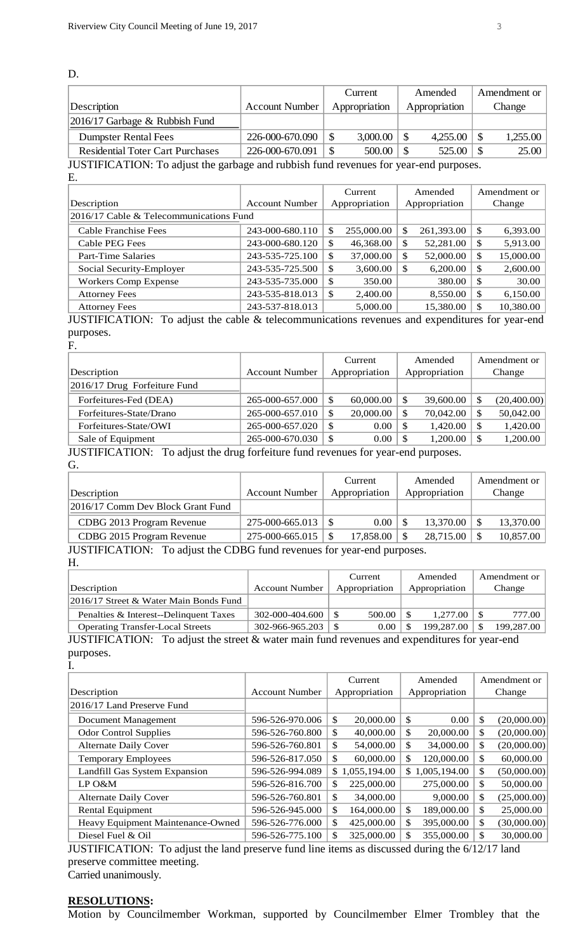|                                                                                       |                       | Current       | Amended          | Amendment or    |  |
|---------------------------------------------------------------------------------------|-----------------------|---------------|------------------|-----------------|--|
| Description                                                                           | <b>Account Number</b> | Appropriation | Appropriation    | Change          |  |
| 2016/17 Garbage & Rubbish Fund                                                        |                       |               |                  |                 |  |
| <b>Dumpster Rental Fees</b>                                                           | 226-000-670.090       | 3,000.00      | 4,255.00<br>l \$ | 1,255.00<br>-\$ |  |
| <b>Residential Toter Cart Purchases</b>                                               | 226-000-670.091       | 500.00        | 525.00<br>l \$   | 25.00<br>-\$    |  |
| JUSTIFICATION: To adjust the garbage and rubbish fund revenues for year-end purposes. |                       |               |                  |                 |  |

ijust the garbage and rubbish fund revenues for year-end purp E.

|                                         |                       | Current  |               | Amended       |               | Amendment or |           |  |        |
|-----------------------------------------|-----------------------|----------|---------------|---------------|---------------|--------------|-----------|--|--------|
| Description                             | <b>Account Number</b> |          | Appropriation |               | Appropriation |              |           |  | Change |
| 2016/17 Cable & Telecommunications Fund |                       |          |               |               |               |              |           |  |        |
| <b>Cable Franchise Fees</b>             | 243-000-680.110       | S        | 255,000.00    | S             | 261,393.00    | S            | 6,393.00  |  |        |
| Cable PEG Fees                          | 243-000-680.120       | <b>S</b> | 46,368.00     | <sup>\$</sup> | 52,281.00     | S            | 5,913.00  |  |        |
| <b>Part-Time Salaries</b>               | 243-535-725.100       | S        | 37,000.00     | <sup>\$</sup> | 52,000.00     | \$           | 15,000.00 |  |        |
| Social Security-Employer                | 243-535-725.500       | S        | 3,600.00      | -S            | 6,200.00      | \$           | 2,600.00  |  |        |
| Workers Comp Expense                    | 243-535-735.000       | <b>S</b> | 350.00        |               | 380.00        | \$           | 30.00     |  |        |
| <b>Attorney Fees</b>                    | 243-535-818.013       | S        | 2,400.00      |               | 8,550.00      | S            | 6,150.00  |  |        |
| <b>Attorney Fees</b>                    | 243-537-818.013       |          | 5,000.00      |               | 15,380.00     | S            | 10,380.00 |  |        |
| <b>ILIATULIA ATIONI</b>                 |                       |          |               |               |               |              |           |  |        |

JUSTIFICATION: To adjust the cable & telecommunications revenues and expenditures for year-end purposes.

F.

D.

|                                                       |                       | Current       | Amended        | Amendment or      |
|-------------------------------------------------------|-----------------------|---------------|----------------|-------------------|
| Description                                           | <b>Account Number</b> | Appropriation | Appropriation  | Change            |
| $\left  \frac{2016}{17} \right $ Drug Forfeiture Fund |                       |               |                |                   |
| Forfeitures-Fed (DEA)                                 | 265-000-657.000       | 60,000.00     | 39,600.00<br>S | (20,400.00)<br>\$ |
| Forfeitures-State/Drano                               | 265-000-657.010       | 20,000.00     | 70,042.00<br>S | 50,042.00<br>\$   |
| Forfeitures-State/OWI                                 | 265-000-657.020       | 0.00          | 1,420.00<br>S  | 1,420.00<br>\$    |
| Sale of Equipment                                     | 265-000-670.030       | 0.00<br>\$    | 1.200.00<br>S  | 1,200.00<br>\$    |

JUSTIFICATION: To adjust the drug forfeiture fund revenues for year-end purposes. G.

| Description                       | <b>Account Number</b> | Current<br>Appropriation | Amended<br>Appropriation | Amendment or<br>Change |
|-----------------------------------|-----------------------|--------------------------|--------------------------|------------------------|
| 2016/17 Comm Dev Block Grant Fund |                       |                          |                          |                        |
| CDBG 2013 Program Revenue         | $275 - 000 - 665.013$ | $0.00$   \$              | 13,370.00                | 13,370.00              |
| CDBG 2015 Program Revenue         |                       | 17,858.00                | 28,715.00                | 10,857.00<br>-S        |

JUSTIFICATION: To adjust the CDBG fund revenues for year-end purposes.

H.

| Description                                                                                                                                                                                                                                                                                                                        | <b>Account Number</b> | Current<br>Appropriation | Amended<br>Appropriation  | Amendment or<br>Change |
|------------------------------------------------------------------------------------------------------------------------------------------------------------------------------------------------------------------------------------------------------------------------------------------------------------------------------------|-----------------------|--------------------------|---------------------------|------------------------|
| 2016/17 Street & Water Main Bonds Fund                                                                                                                                                                                                                                                                                             |                       |                          |                           |                        |
| Penalties & Interest--Delinquent Taxes                                                                                                                                                                                                                                                                                             | 302-000-404.600       | 500.00                   | 1.277.00                  | 777.00                 |
| <b>Operating Transfer-Local Streets</b>                                                                                                                                                                                                                                                                                            | 302-966-965.203       | 0.00                     | 199,287.00                | 199,287.00             |
| $\mathbf{H}$ $\mathbf{H}$ $\mathbf{H}$ $\mathbf{H}$ $\mathbf{H}$ $\mathbf{H}$ $\mathbf{H}$ $\mathbf{H}$ $\mathbf{H}$ $\mathbf{H}$ $\mathbf{H}$ $\mathbf{H}$ $\mathbf{H}$ $\mathbf{H}$ $\mathbf{H}$ $\mathbf{H}$ $\mathbf{H}$ $\mathbf{H}$ $\mathbf{H}$ $\mathbf{H}$ $\mathbf{H}$ $\mathbf{H}$ $\mathbf{H}$ $\mathbf{H}$ $\mathbf{$ |                       |                          | $\mathbf{r}$ $\mathbf{r}$ |                        |

JUSTIFICATION: To adjust the street & water main fund revenues and expenditures for year-end purposes. I.

|                                   |                       |               | Current        | Amended |                | Amendment or |             |
|-----------------------------------|-----------------------|---------------|----------------|---------|----------------|--------------|-------------|
| Description                       | <b>Account Number</b> |               | Appropriation  |         | Appropriation  |              | Change      |
| 2016/17 Land Preserve Fund        |                       |               |                |         |                |              |             |
| Document Management               | 596-526-970.006       | \$            | 20,000.00      | \$      | 0.00           | \$           | (20,000.00) |
| <b>Odor Control Supplies</b>      | 596-526-760.800       | <sup>\$</sup> | 40,000.00      | \$      | 20,000.00      | \$           | (20,000.00) |
| <b>Alternate Daily Cover</b>      | 596-526-760.801       | <sup>\$</sup> | 54,000.00      | \$      | 34,000.00      | \$           | (20,000.00) |
| <b>Temporary Employees</b>        | 596-526-817.050       | <sup>\$</sup> | 60,000.00      | \$      | 120,000.00     | \$           | 60,000.00   |
| Landfill Gas System Expansion     | 596-526-994.089       |               | \$1,055,194.00 |         | \$1,005,194.00 | \$           | (50,000.00) |
| LP O&M                            | 596-526-816.700       | \$            | 225,000.00     |         | 275,000.00     | \$           | 50,000.00   |
| <b>Alternate Daily Cover</b>      | 596-526-760.801       | <sup>\$</sup> | 34,000.00      |         | 9,000.00       | \$           | (25,000.00) |
| <b>Rental Equipment</b>           | 596-526-945.000       | \$            | 164,000.00     | \$      | 189,000.00     | \$           | 25,000.00   |
| Heavy Equipment Maintenance-Owned | 596-526-776.000       | \$.           | 425,000.00     | \$      | 395,000.00     | \$           | (30,000.00) |
| Diesel Fuel & Oil                 | 596-526-775.100       | £.            | 325,000.00     |         | 355,000.00     | \$           | 30,000.00   |

JUSTIFICATION: To adjust the land preserve fund line items as discussed during the 6/12/17 land preserve committee meeting.

Carried unanimously.

## **RESOLUTIONS:**

Motion by Councilmember Workman, supported by Councilmember Elmer Trombley that the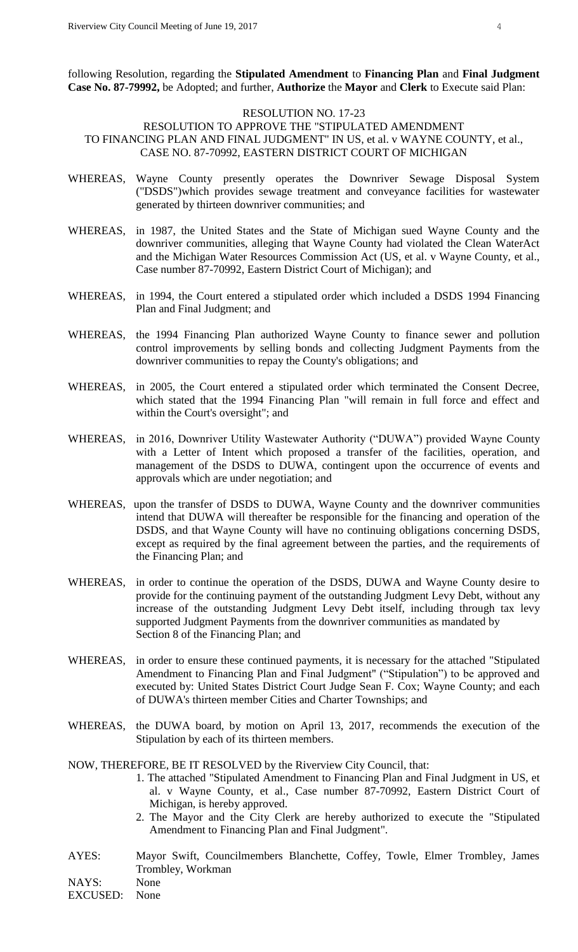following Resolution, regarding the **Stipulated Amendment** to **Financing Plan** and **Final Judgment Case No. 87-79992,** be Adopted; and further, **Authorize** the **Mayor** and **Clerk** to Execute said Plan:

### RESOLUTION NO. 17-23

RESOLUTION TO APPROVE THE "STIPULATED AMENDMENT TO FINANCING PLAN AND FINAL JUDGMENT" IN US, et al. v WAYNE COUNTY, et al., CASE NO. 87-70992, EASTERN DISTRICT COURT OF MICHIGAN

- WHEREAS, Wayne County presently operates the Downriver Sewage Disposal System ("DSDS")which provides sewage treatment and conveyance facilities for wastewater generated by thirteen downriver communities; and
- WHEREAS, in 1987, the United States and the State of Michigan sued Wayne County and the downriver communities, alleging that Wayne County had violated the Clean WaterAct and the Michigan Water Resources Commission Act (US, et al. v Wayne County, et al., Case number 87-70992, Eastern District Court of Michigan); and
- WHEREAS, in 1994, the Court entered a stipulated order which included a DSDS 1994 Financing Plan and Final Judgment; and
- WHEREAS, the 1994 Financing Plan authorized Wayne County to finance sewer and pollution control improvements by selling bonds and collecting Judgment Payments from the downriver communities to repay the County's obligations; and
- WHEREAS, in 2005, the Court entered a stipulated order which terminated the Consent Decree, which stated that the 1994 Financing Plan "will remain in full force and effect and within the Court's oversight"; and
- WHEREAS, in 2016, Downriver Utility Wastewater Authority ("DUWA") provided Wayne County with a Letter of Intent which proposed a transfer of the facilities, operation, and management of the DSDS to DUWA, contingent upon the occurrence of events and approvals which are under negotiation; and
- WHEREAS, upon the transfer of DSDS to DUWA, Wayne County and the downriver communities intend that DUWA will thereafter be responsible for the financing and operation of the DSDS, and that Wayne County will have no continuing obligations concerning DSDS, except as required by the final agreement between the parties, and the requirements of the Financing Plan; and
- WHEREAS, in order to continue the operation of the DSDS, DUWA and Wayne County desire to provide for the continuing payment of the outstanding Judgment Levy Debt, without any increase of the outstanding Judgment Levy Debt itself, including through tax levy supported Judgment Payments from the downriver communities as mandated by Section 8 of the Financing Plan; and
- WHEREAS, in order to ensure these continued payments, it is necessary for the attached "Stipulated Amendment to Financing Plan and Final Judgment" ("Stipulation") to be approved and executed by: United States District Court Judge Sean F. Cox; Wayne County; and each of DUWA's thirteen member Cities and Charter Townships; and
- WHEREAS, the DUWA board, by motion on April 13, 2017, recommends the execution of the Stipulation by each of its thirteen members.

## NOW, THEREFORE, BE IT RESOLVED by the Riverview City Council, that:

- 1. The attached "Stipulated Amendment to Financing Plan and Final Judgment in US, et al. v Wayne County, et al., Case number 87-70992, Eastern District Court of Michigan, is hereby approved.
- 2. The Mayor and the City Clerk are hereby authorized to execute the "Stipulated Amendment to Financing Plan and Final Judgment".
- AYES: Mayor Swift, Councilmembers Blanchette, Coffey, Towle, Elmer Trombley, James Trombley, Workman

NAYS: None

EXCUSED: None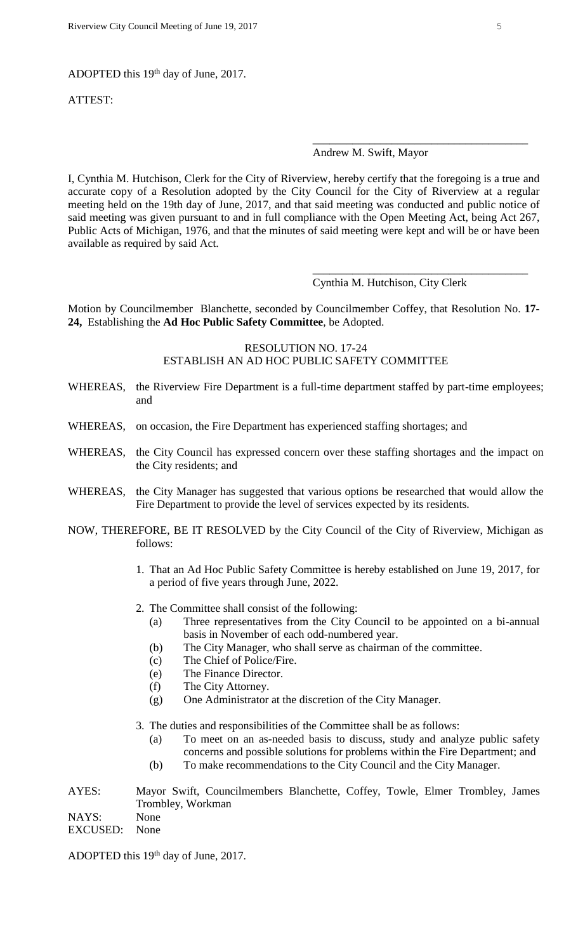ADOPTED this 19<sup>th</sup> day of June, 2017.

ATTEST:

#### Andrew M. Swift, Mayor

\_\_\_\_\_\_\_\_\_\_\_\_\_\_\_\_\_\_\_\_\_\_\_\_\_\_\_\_\_\_\_\_\_\_\_\_\_\_

\_\_\_\_\_\_\_\_\_\_\_\_\_\_\_\_\_\_\_\_\_\_\_\_\_\_\_\_\_\_\_\_\_\_\_\_\_\_

I, Cynthia M. Hutchison, Clerk for the City of Riverview, hereby certify that the foregoing is a true and accurate copy of a Resolution adopted by the City Council for the City of Riverview at a regular meeting held on the 19th day of June, 2017, and that said meeting was conducted and public notice of said meeting was given pursuant to and in full compliance with the Open Meeting Act, being Act 267, Public Acts of Michigan, 1976, and that the minutes of said meeting were kept and will be or have been available as required by said Act.

Cynthia M. Hutchison, City Clerk

Motion by Councilmember Blanchette, seconded by Councilmember Coffey, that Resolution No. **17- 24,** Establishing the **Ad Hoc Public Safety Committee**, be Adopted.

# RESOLUTION NO. 17-24 ESTABLISH AN AD HOC PUBLIC SAFETY COMMITTEE

- WHEREAS, the Riverview Fire Department is a full-time department staffed by part-time employees; and
- WHEREAS, on occasion, the Fire Department has experienced staffing shortages; and
- WHEREAS, the City Council has expressed concern over these staffing shortages and the impact on the City residents; and
- WHEREAS, the City Manager has suggested that various options be researched that would allow the Fire Department to provide the level of services expected by its residents.
- NOW, THEREFORE, BE IT RESOLVED by the City Council of the City of Riverview, Michigan as follows:
	- 1. That an Ad Hoc Public Safety Committee is hereby established on June 19, 2017, for a period of five years through June, 2022.
	- 2. The Committee shall consist of the following:
		- (a) Three representatives from the City Council to be appointed on a bi-annual basis in November of each odd-numbered year.
		- (b) The City Manager, who shall serve as chairman of the committee.
		- (c) The Chief of Police/Fire.
		- (e) The Finance Director.
		- (f) The City Attorney.
		- (g) One Administrator at the discretion of the City Manager.
	- 3. The duties and responsibilities of the Committee shall be as follows:
		- (a) To meet on an as-needed basis to discuss, study and analyze public safety concerns and possible solutions for problems within the Fire Department; and
		- (b) To make recommendations to the City Council and the City Manager.

AYES: Mayor Swift, Councilmembers Blanchette, Coffey, Towle, Elmer Trombley, James Trombley, Workman NAYS: None EXCUSED: None

ADOPTED this 19<sup>th</sup> day of June, 2017.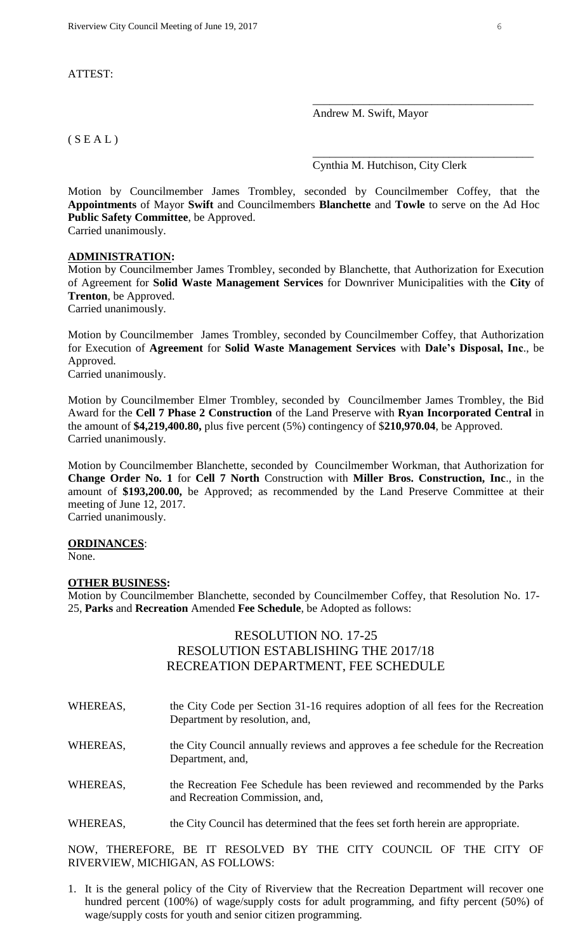#### ATTEST:

Andrew M. Swift, Mayor

### $(S E A L)$

Cynthia M. Hutchison, City Clerk

\_\_\_\_\_\_\_\_\_\_\_\_\_\_\_\_\_\_\_\_\_\_\_\_\_\_\_\_\_\_\_\_\_\_\_\_\_\_\_

\_\_\_\_\_\_\_\_\_\_\_\_\_\_\_\_\_\_\_\_\_\_\_\_\_\_\_\_\_\_\_\_\_\_\_\_\_\_\_

Motion by Councilmember James Trombley, seconded by Councilmember Coffey, that the **Appointments** of Mayor **Swift** and Councilmembers **Blanchette** and **Towle** to serve on the Ad Hoc **Public Safety Committee**, be Approved.

Carried unanimously.

#### **ADMINISTRATION:**

Motion by Councilmember James Trombley, seconded by Blanchette, that Authorization for Execution of Agreement for **Solid Waste Management Services** for Downriver Municipalities with the **City** of **Trenton**, be Approved.

Carried unanimously.

Motion by Councilmember James Trombley, seconded by Councilmember Coffey, that Authorization for Execution of **Agreement** for **Solid Waste Management Services** with **Dale's Disposal, Inc**., be Approved.

Carried unanimously.

Motion by Councilmember Elmer Trombley, seconded by Councilmember James Trombley, the Bid Award for the **Cell 7 Phase 2 Construction** of the Land Preserve with **Ryan Incorporated Central** in the amount of **\$4,219,400.80,** plus five percent (5%) contingency of \$**210,970.04**, be Approved. Carried unanimously.

Motion by Councilmember Blanchette, seconded by Councilmember Workman, that Authorization for **Change Order No. 1** for **Cell 7 North** Construction with **Miller Bros. Construction, Inc**., in the amount of **\$193,200.00,** be Approved; as recommended by the Land Preserve Committee at their meeting of June 12, 2017. Carried unanimously.

#### **ORDINANCES**:

None.

#### **OTHER BUSINESS:**

Motion by Councilmember Blanchette, seconded by Councilmember Coffey, that Resolution No. 17- 25, **Parks** and **Recreation** Amended **Fee Schedule**, be Adopted as follows:

# RESOLUTION NO. 17-25 RESOLUTION ESTABLISHING THE 2017/18 RECREATION DEPARTMENT, FEE SCHEDULE

- WHEREAS, the City Code per Section 31-16 requires adoption of all fees for the Recreation Department by resolution, and,
- WHEREAS, the City Council annually reviews and approves a fee schedule for the Recreation Department, and,
- WHEREAS, the Recreation Fee Schedule has been reviewed and recommended by the Parks and Recreation Commission, and,
- WHEREAS, the City Council has determined that the fees set forth herein are appropriate.

NOW, THEREFORE, BE IT RESOLVED BY THE CITY COUNCIL OF THE CITY OF RIVERVIEW, MICHIGAN, AS FOLLOWS:

1. It is the general policy of the City of Riverview that the Recreation Department will recover one hundred percent (100%) of wage/supply costs for adult programming, and fifty percent (50%) of wage/supply costs for youth and senior citizen programming.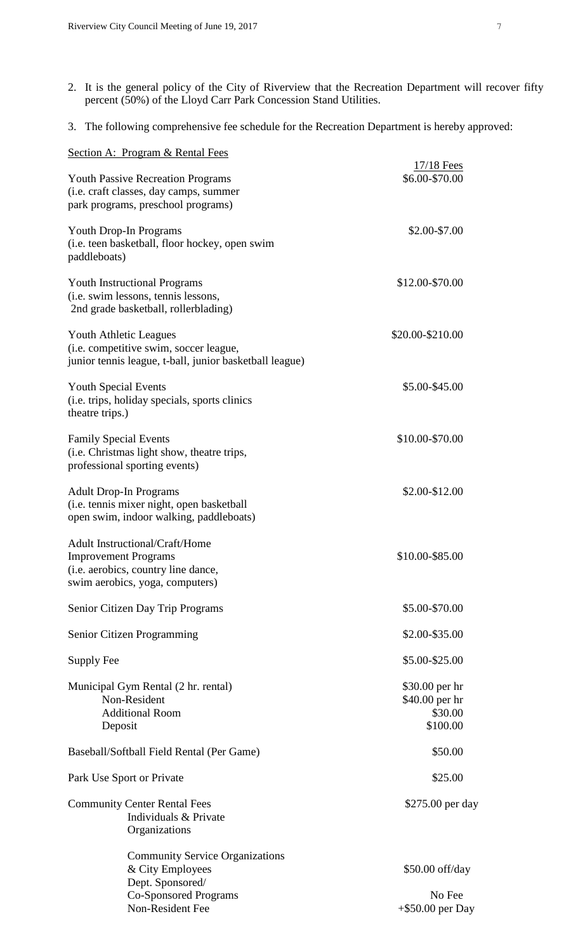- 2. It is the general policy of the City of Riverview that the Recreation Department will recover fifty percent (50%) of the Lloyd Carr Park Concession Stand Utilities.
- 3. The following comprehensive fee schedule for the Recreation Department is hereby approved:

| Section A: Program & Rental Fees                                                                                                                      |                                                         |
|-------------------------------------------------------------------------------------------------------------------------------------------------------|---------------------------------------------------------|
| <b>Youth Passive Recreation Programs</b><br>(i.e. craft classes, day camps, summer<br>park programs, preschool programs)                              | 17/18 Fees<br>\$6.00-\$70.00                            |
| Youth Drop-In Programs<br>(i.e. teen basketball, floor hockey, open swim<br>paddleboats)                                                              | \$2.00-\$7.00                                           |
| <b>Youth Instructional Programs</b><br>(i.e. swim lessons, tennis lessons,<br>2nd grade basketball, rollerblading)                                    | \$12.00-\$70.00                                         |
| <b>Youth Athletic Leagues</b><br>(i.e. competitive swim, soccer league,<br>junior tennis league, t-ball, junior basketball league)                    | \$20.00-\$210.00                                        |
| <b>Youth Special Events</b><br>(i.e. trips, holiday specials, sports clinics<br>theatre trips.)                                                       | \$5.00-\$45.00                                          |
| <b>Family Special Events</b><br>(i.e. Christmas light show, theatre trips,<br>professional sporting events)                                           | \$10.00-\$70.00                                         |
| <b>Adult Drop-In Programs</b><br>(i.e. tennis mixer night, open basketball<br>open swim, indoor walking, paddleboats)                                 | \$2.00-\$12.00                                          |
| <b>Adult Instructional/Craft/Home</b><br><b>Improvement Programs</b><br>( <i>i.e.</i> aerobics, country line dance<br>swim aerobics, yoga, computers) | \$10.00-\$85.00                                         |
| Senior Citizen Day Trip Programs                                                                                                                      | \$5.00-\$70.00                                          |
| Senior Citizen Programming                                                                                                                            | \$2.00-\$35.00                                          |
| Supply Fee                                                                                                                                            | \$5.00-\$25.00                                          |
| Municipal Gym Rental (2 hr. rental)<br>Non-Resident<br><b>Additional Room</b><br>Deposit                                                              | \$30.00 per hr<br>\$40.00 per hr<br>\$30.00<br>\$100.00 |
| Baseball/Softball Field Rental (Per Game)                                                                                                             | \$50.00                                                 |
| Park Use Sport or Private                                                                                                                             | \$25.00                                                 |
| <b>Community Center Rental Fees</b><br>Individuals & Private<br>Organizations                                                                         | \$275.00 per day                                        |
| <b>Community Service Organizations</b><br>& City Employees<br>Dept. Sponsored/<br><b>Co-Sponsored Programs</b><br>Non-Resident Fee                    | \$50.00 off/day<br>No Fee<br>$+$ \$50.00 per Day        |
|                                                                                                                                                       |                                                         |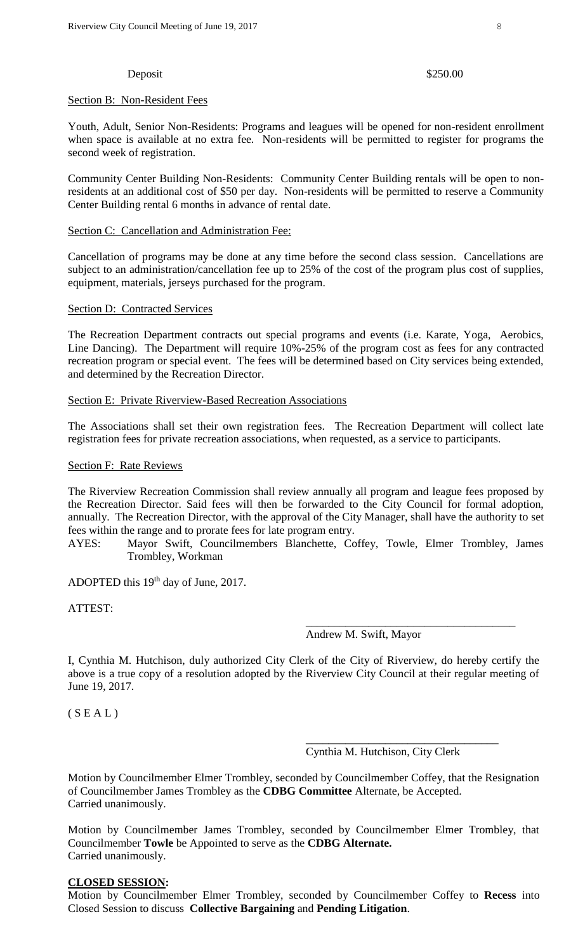#### Deposit \$250.00

## Section B: Non-Resident Fees

Youth, Adult, Senior Non-Residents: Programs and leagues will be opened for non-resident enrollment when space is available at no extra fee. Non-residents will be permitted to register for programs the second week of registration.

Community Center Building Non-Residents: Community Center Building rentals will be open to nonresidents at an additional cost of \$50 per day. Non-residents will be permitted to reserve a Community Center Building rental 6 months in advance of rental date.

#### Section C: Cancellation and Administration Fee:

Cancellation of programs may be done at any time before the second class session. Cancellations are subject to an administration/cancellation fee up to 25% of the cost of the program plus cost of supplies, equipment, materials, jerseys purchased for the program.

### Section D: Contracted Services

The Recreation Department contracts out special programs and events (i.e. Karate, Yoga, Aerobics, Line Dancing). The Department will require 10%-25% of the program cost as fees for any contracted recreation program or special event. The fees will be determined based on City services being extended, and determined by the Recreation Director.

## Section E: Private Riverview-Based Recreation Associations

The Associations shall set their own registration fees. The Recreation Department will collect late registration fees for private recreation associations, when requested, as a service to participants.

#### Section F: Rate Reviews

The Riverview Recreation Commission shall review annually all program and league fees proposed by the Recreation Director. Said fees will then be forwarded to the City Council for formal adoption, annually. The Recreation Director, with the approval of the City Manager, shall have the authority to set fees within the range and to prorate fees for late program entry.

AYES: Mayor Swift, Councilmembers Blanchette, Coffey, Towle, Elmer Trombley, James Trombley, Workman

ADOPTED this 19<sup>th</sup> day of June, 2017.

ATTEST:

Andrew M. Swift, Mayor

\_\_\_\_\_\_\_\_\_\_\_\_\_\_\_\_\_\_\_\_\_\_\_\_\_\_\_\_\_\_\_\_\_\_\_\_\_

I, Cynthia M. Hutchison, duly authorized City Clerk of the City of Riverview, do hereby certify the above is a true copy of a resolution adopted by the Riverview City Council at their regular meeting of June 19, 2017.

 $(S E A L)$ 

Cynthia M. Hutchison, City Clerk

\_\_\_\_\_\_\_\_\_\_\_\_\_\_\_\_\_\_\_\_\_\_\_\_\_\_\_\_\_\_\_\_\_\_

Motion by Councilmember Elmer Trombley, seconded by Councilmember Coffey, that the Resignation of Councilmember James Trombley as the **CDBG Committee** Alternate, be Accepted. Carried unanimously.

Motion by Councilmember James Trombley, seconded by Councilmember Elmer Trombley, that Councilmember **Towle** be Appointed to serve as the **CDBG Alternate.** Carried unanimously.

# **CLOSED SESSION:**

Motion by Councilmember Elmer Trombley, seconded by Councilmember Coffey to **Recess** into Closed Session to discuss **Collective Bargaining** and **Pending Litigation**.